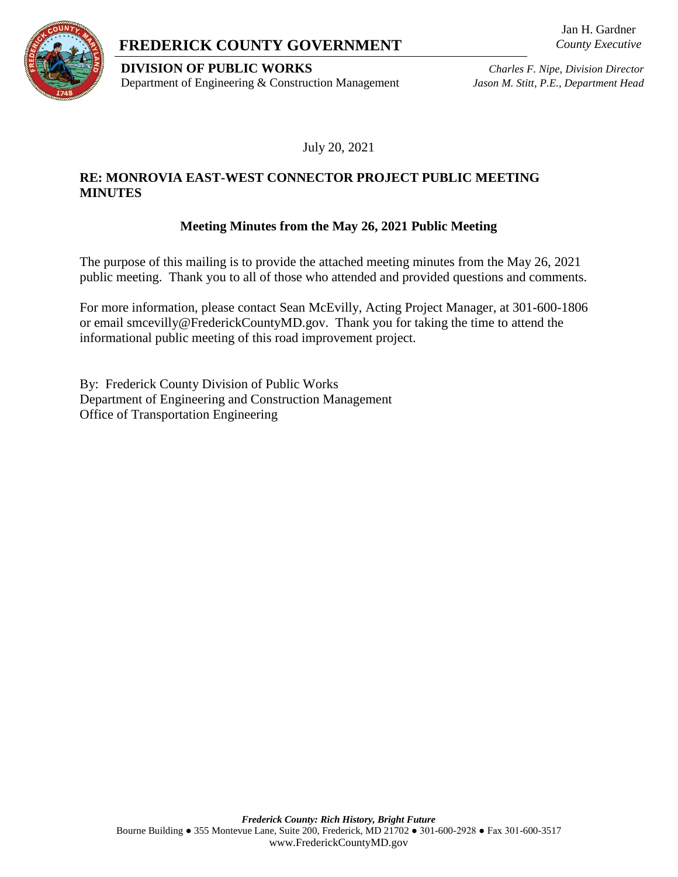



#### **DIVISION OF PUBLIC WORKS** *Charles F. Nipe, Division Director* Department of Engineering & Construction Management *Jason M. Stitt, P.E., Department Head*

July 20, 2021

# **RE: MONROVIA EAST-WEST CONNECTOR PROJECT PUBLIC MEETING MINUTES**

# **Meeting Minutes from the May 26, 2021 Public Meeting**

The purpose of this mailing is to provide the attached meeting minutes from the May 26, 2021 public meeting. Thank you to all of those who attended and provided questions and comments.

For more information, please contact Sean McEvilly, Acting Project Manager, at 301-600-1806 or email smcevilly@FrederickCountyMD.gov. Thank you for taking the time to attend the informational public meeting of this road improvement project.

By: Frederick County Division of Public Works Department of Engineering and Construction Management Office of Transportation Engineering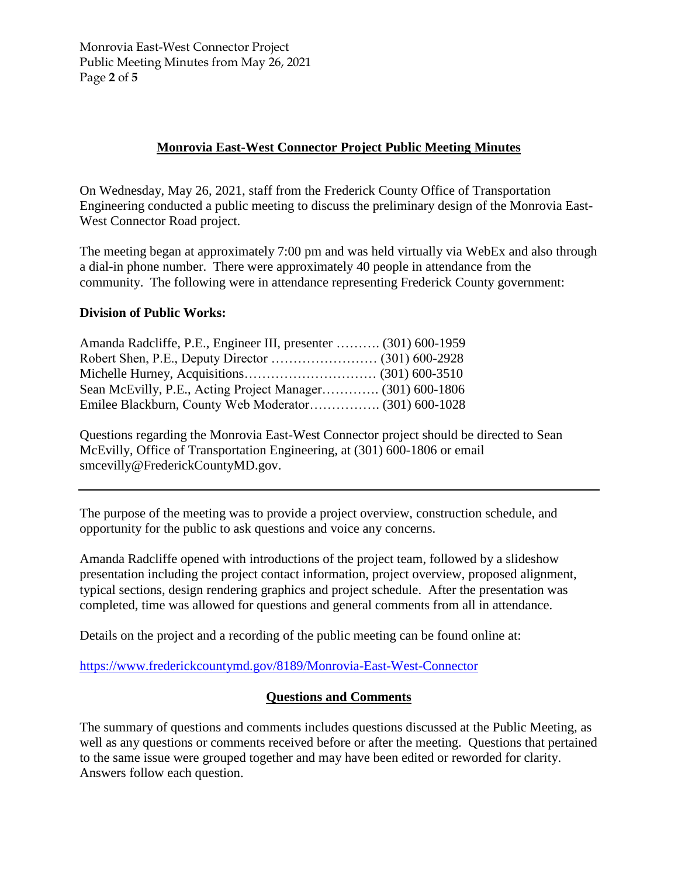Monrovia East-West Connector Project Public Meeting Minutes from May 26, 2021 Page **2** of **5**

# **Monrovia East-West Connector Project Public Meeting Minutes**

On Wednesday, May 26, 2021, staff from the Frederick County Office of Transportation Engineering conducted a public meeting to discuss the preliminary design of the Monrovia East-West Connector Road project.

The meeting began at approximately 7:00 pm and was held virtually via WebEx and also through a dial-in phone number. There were approximately 40 people in attendance from the community. The following were in attendance representing Frederick County government:

# **Division of Public Works:**

| Amanda Radcliffe, P.E., Engineer III, presenter  (301) 600-1959 |  |
|-----------------------------------------------------------------|--|
|                                                                 |  |
|                                                                 |  |
| Sean McEvilly, P.E., Acting Project Manager (301) 600-1806      |  |
|                                                                 |  |

Questions regarding the Monrovia East-West Connector project should be directed to Sean McEvilly, Office of Transportation Engineering, at (301) 600-1806 or email smcevilly@FrederickCountyMD.gov.

The purpose of the meeting was to provide a project overview, construction schedule, and opportunity for the public to ask questions and voice any concerns.

Amanda Radcliffe opened with introductions of the project team, followed by a slideshow presentation including the project contact information, project overview, proposed alignment, typical sections, design rendering graphics and project schedule. After the presentation was completed, time was allowed for questions and general comments from all in attendance.

Details on the project and a recording of the public meeting can be found online at:

<https://www.frederickcountymd.gov/8189/Monrovia-East-West-Connector>

#### **Questions and Comments**

The summary of questions and comments includes questions discussed at the Public Meeting, as well as any questions or comments received before or after the meeting. Questions that pertained to the same issue were grouped together and may have been edited or reworded for clarity. Answers follow each question.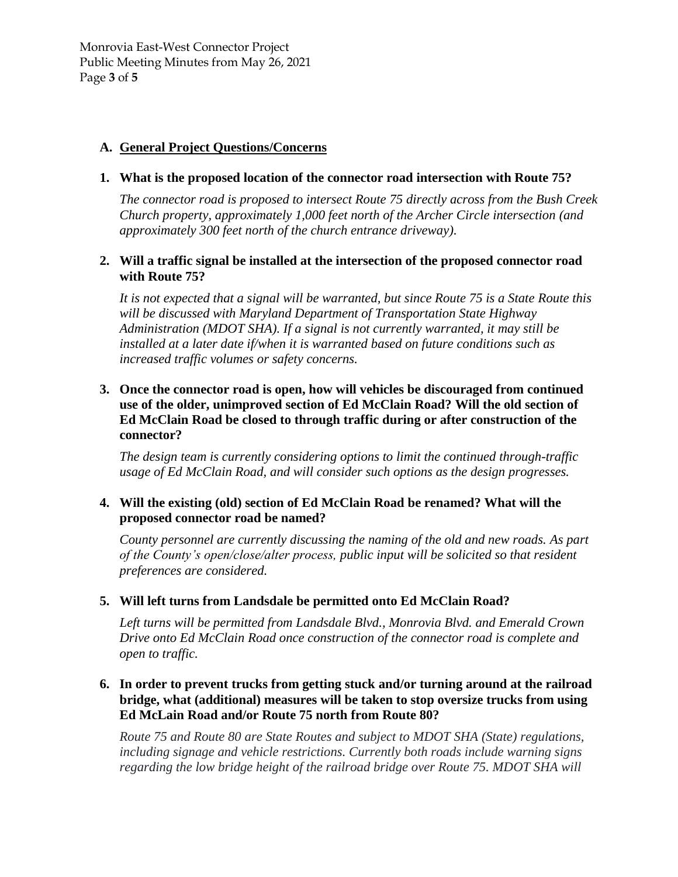Monrovia East-West Connector Project Public Meeting Minutes from May 26, 2021 Page **3** of **5**

#### **A. General Project Questions/Concerns**

#### **1. What is the proposed location of the connector road intersection with Route 75?**

*The connector road is proposed to intersect Route 75 directly across from the Bush Creek Church property, approximately 1,000 feet north of the Archer Circle intersection (and approximately 300 feet north of the church entrance driveway).*

#### **2. Will a traffic signal be installed at the intersection of the proposed connector road with Route 75?**

*It is not expected that a signal will be warranted, but since Route 75 is a State Route this will be discussed with Maryland Department of Transportation State Highway Administration (MDOT SHA). If a signal is not currently warranted, it may still be installed at a later date if/when it is warranted based on future conditions such as increased traffic volumes or safety concerns.*

# **3. Once the connector road is open, how will vehicles be discouraged from continued use of the older, unimproved section of Ed McClain Road? Will the old section of Ed McClain Road be closed to through traffic during or after construction of the connector?**

*The design team is currently considering options to limit the continued through-traffic usage of Ed McClain Road, and will consider such options as the design progresses.*

#### **4. Will the existing (old) section of Ed McClain Road be renamed? What will the proposed connector road be named?**

*County personnel are currently discussing the naming of the old and new roads. As part of the County's open/close/alter process, public input will be solicited so that resident preferences are considered.* 

#### **5. Will left turns from Landsdale be permitted onto Ed McClain Road?**

*Left turns will be permitted from Landsdale Blvd., Monrovia Blvd. and Emerald Crown Drive onto Ed McClain Road once construction of the connector road is complete and open to traffic.*

# **6. In order to prevent trucks from getting stuck and/or turning around at the railroad bridge, what (additional) measures will be taken to stop oversize trucks from using Ed McLain Road and/or Route 75 north from Route 80?**

*Route 75 and Route 80 are State Routes and subject to MDOT SHA (State) regulations, including signage and vehicle restrictions. Currently both roads include warning signs regarding the low bridge height of the railroad bridge over Route 75. MDOT SHA will*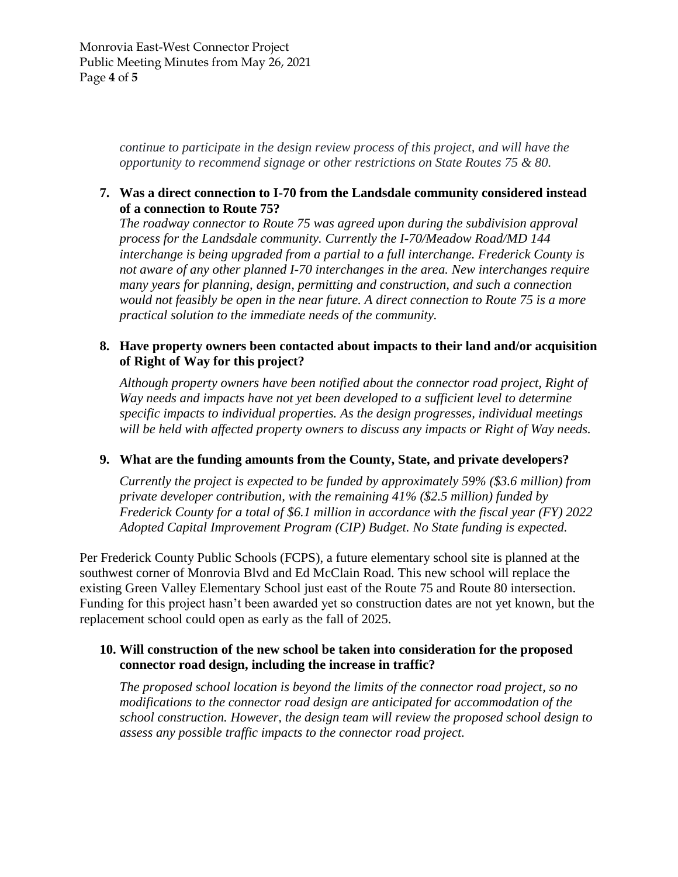*continue to participate in the design review process of this project, and will have the opportunity to recommend signage or other restrictions on State Routes 75 & 80.*

# **7. Was a direct connection to I-70 from the Landsdale community considered instead of a connection to Route 75?**

*The roadway connector to Route 75 was agreed upon during the subdivision approval process for the Landsdale community. Currently the I-70/Meadow Road/MD 144 interchange is being upgraded from a partial to a full interchange. Frederick County is not aware of any other planned I-70 interchanges in the area. New interchanges require many years for planning, design, permitting and construction, and such a connection would not feasibly be open in the near future. A direct connection to Route 75 is a more practical solution to the immediate needs of the community.*

#### **8. Have property owners been contacted about impacts to their land and/or acquisition of Right of Way for this project?**

*Although property owners have been notified about the connector road project, Right of Way needs and impacts have not yet been developed to a sufficient level to determine specific impacts to individual properties. As the design progresses, individual meetings will be held with affected property owners to discuss any impacts or Right of Way needs.*

# **9. What are the funding amounts from the County, State, and private developers?**

*Currently the project is expected to be funded by approximately 59% (\$3.6 million) from private developer contribution, with the remaining 41% (\$2.5 million) funded by Frederick County for a total of \$6.1 million in accordance with the fiscal year (FY) 2022 Adopted Capital Improvement Program (CIP) Budget. No State funding is expected.* 

Per Frederick County Public Schools (FCPS), a future elementary school site is planned at the southwest corner of Monrovia Blvd and Ed McClain Road. This new school will replace the existing Green Valley Elementary School just east of the Route 75 and Route 80 intersection. Funding for this project hasn't been awarded yet so construction dates are not yet known, but the replacement school could open as early as the fall of 2025.

# **10. Will construction of the new school be taken into consideration for the proposed connector road design, including the increase in traffic?**

*The proposed school location is beyond the limits of the connector road project, so no modifications to the connector road design are anticipated for accommodation of the school construction. However, the design team will review the proposed school design to assess any possible traffic impacts to the connector road project.*